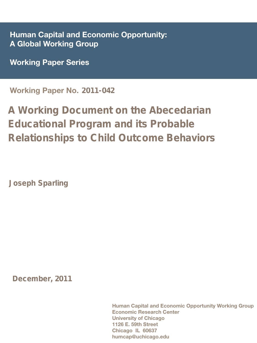Human Capital and Economic Opportunity: A Global Working Group

Working Paper Series

Working Paper No. 2011-042

# A Working Document on the Abecedarian Educational Program and its Probable Relationships to Child Outcome Behaviors

Joseph Sparling

December, 2011

Human Capital and Economic Opportunity Working Group Economic Research Center University of Chicago 1126 E. 59th Street Chicago IL 60637 humcap@uchicago.edu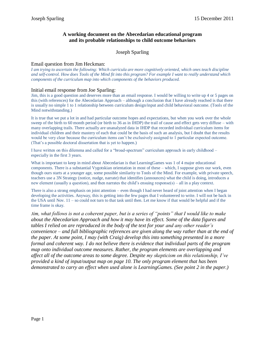#### **A working document on the Abecedarian educational program and its probable relationships to child outcome behaviors**

#### Joseph Sparling

#### Email question from Jim Heckman:

*I am trying to ascertain the following: Which curricula are more cognitively oriented, which ones teach discipline and self-control. How does Tools of the Mind fit into this program? For example I want to really understand which components of the curriculum map into which components of the behaviors produced.*

#### Initial email response from Joe Sparling:

Jim, this is a good question and deserves more than an email response. I would be willing to write up 4 or 5 pages on this (with references) for the Abecedarian Approach – although a conclusion that I have already reached is that there is usually no simple 1 to 1 relationship between curriculum design/input and child behavioral outcome. (Tools of the Mind notwithstanding.)

It is true that we put a lot in and had particular outcome hopes and expectations, but when you work over the whole sweep of the birth to 60 month period (or birth to 36 as in IHDP) the trail of cause and effect gets very diffuse – with many overlapping trails. There actually are unanalyzed data in IHDP that recorded individual curriculum items for individual children and their mastery of each that could be the basis of such an analysis, but I doubt that the results would be very clear because the curriculum items can't be exclusively assigned to 1 particular expected outcome. (That's a possible doctoral dissertation that is yet to happen.)

I have written on this dilemma and called for a "broad-spectrum" curriculum approach in early childhood – especially in the first 3 years.

What is important to keep in mind about Abecedarian is that LearningGames was 1 of 4 major educational components. There is a substantial Vygotskian orientation in most of these – which, I suppose gives our work, even though ours starts at a younger age, some possible similarity to Tools of the Mind. For example, with private speech, teachers use a 3N Strategy (notice, nudge, narrate) that identifies (announces) what the child is doing, introduces a new element (usually a question), and then narrates the child's ensuing response(s) – all in a play context.

There is also a strong emphasis on joint attention – even though I had never heard of joint attention when I began developing the activities. Anyway, this is getting into the few pages that I volunteered to write. I will not be back in the USA until Nov. 11 – so could not turn to that task until then. Let me know if that would be helpful and if the time frame is okay.

*Jim, what follows is not a coherent paper, but is a series of "points" that I would like to make about the Abecedarian Approach and how it may have its effect. Some of the data figures and tables I relied on are reproduced in the body of the text for your and any other reader's convenience – and full bibliographic references are given along the way rather than at the end of the paper. At some point, I may (with Craig) develop this into something presented in a more formal and coherent way. I do not believe there is evidence that individual parts of the program map onto individual outcome measures. Rather, the program elements are overlapping and affect all of the outcome areas to some degree. Despite my skepticism on this relationship, I've provided a kind of input/output map on page 10. The only program element that has been demonstrated to carry an effect when used alone is LearningGames. (See point 2 in the paper.)*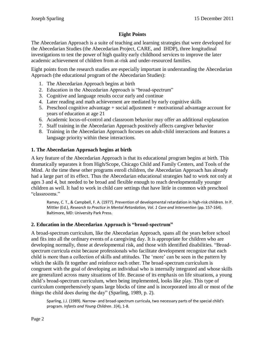# **Eight Points**

The Abecedarian Approach is a suite of teaching and learning strategies that were developed for the Abecedarian Studies (the Abecedarian Project, CARE, and IHDP), three longitudinal investigations to test the power of high quality early childhood services to improve the later academic achievement of children from at-risk and under-resourced families.

Eight points from the research studies are especially important in understanding the Abecedarian Approach (the educational program of the Abecedarian Studies):

- 1. The Abecedarian Approach begins at birth
- 2. Education in the Abecedarian Approach is "broad-spectrum"
- 3. Cognitive and language results occur early and continue
- 4. Later reading and math achievement are mediated by early cognitive skills
- 5. Preschool cognitive advantage + social adjustment + motivational advantage account for years of education at age 21
- 6. Academic locus-of-control and classroom behavior may offer an additional explanation
- 7. Staff training in the Abecedarian Approach positively affects caregiver behavior
- 8. Training in the Abecedarian Approach focuses on adult-child interactions and features a language priority within these interactions.

## **1. The Abecedarian Approach begins at birth**

A key feature of the Abecedarian Approach is that its educational program begins at birth. This dramatically separates it from High/Scope, Chicago Child and Family Centers, and Tools of the Mind. At the time these other programs enroll children, the Abecedarian Approach has already had a large part of its effect. Thus the Abecedarian educational strategies had to work not only at ages 3 and 4, but needed to be broad and flexible enough to reach developmentally younger children as well. It had to work in child care settings that have little in common with preschool "classrooms."

Ramey, C. T., & Campbell, F. A. (1977). Prevention of developmental retardation in high-risk children. In P. Mittler (Ed.), *Research to Practice in Mental Retardation, Vol. 1 Care and Intervention* (pp. 157-164). Baltimore, MD: University Park Press.

# **2. Education in the Abecedarian Approach is "broad-spectrum"**

A broad-spectrum curriculum, like the Abecedarian Approach, spans all the years before school and fits into all the ordinary events of a caregiving day. It is appropriate for children who are developing normally, those at developmental risk, and those with identified disabilities. "Broadspectrum curricula exist because professionals who facilitate development recognize that each child is more than a collection of skills and attitudes. The 'more' can be seen in the pattern by which the skills fit together and reinforce each other. The broad-spectrum curriculum is congruent with the goal of developing an individual who is internally integrated and whose skills are generalized across many situations of life. Because of its emphasis on life situations, a young child's broad-spectrum curriculum, when being implemented, looks like play. This type of curriculum comprehensively spans large blocks of time and is incorporated into all or most of the things the child does during the day" (Sparling, 1989, p. 2).

Sparling, J.J. (1989). Narrow- and broad-spectrum curricula, two necessary parts of the special child's program. *Infants and Young Children*. *1*(4), 1-8.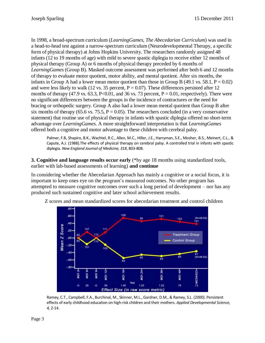In 1998, a broad-spectrum curriculum (*LearningGames, The Abecedarian Curriculum*) was used in a head-to-head test against a narrow-spectrum curriculum (Neurodevelopmental Therapy, a specific form of physical therapy) at Johns Hopkins University. The researchers randomly assigned 48 infants (12 to 19 months of age) with mild to severe spastic diplegia to receive either 12 months of physical therapy (Group A) or 6 months of physical therapy preceded by 6 months of *LearningGames* (Group B). Masked outcome assessment was performed after both 6 and 12 months of therapy to evaluate motor quotient, motor ability, and mental quotient. After six months, the infants in Group A had a lower mean motor quotient than those in Group B (49.1 vs. 58.1,  $P = 0.02$ ) and were less likely to walk (12 vs. 35 percent,  $P = 0.07$ ). These differences persisted after 12 months of therapy (47.9 vs. 63.3, P<0.01, and 36 vs. 73 percent,  $P = 0.01$ , respectively). There were no significant differences between the groups in the incidence of contractures or the need for bracing or orthopedic surgery. Group A also had a lower mean mental quotient than Group B after six months of therapy (65.6 vs. 75.5,  $P = 0.05$ ). The researchers concluded (in a very conservative statement) that routine use of physical therapy in infants with spastic diplegia offered no short-term advantage over *LearningGames*. A more straightforward interpretation is that *LearningGames* offered both a cognitive and motor advantage to these children with cerebral palsy.

Palmer, F.B, Shapiro, B.K., Wachtel, R.C., Allen, M.C., Hiller, J.E., Harryman, S.E., Mosher, B.S., Meinert, C.L., & Capute, A.J. (1988).The effects of physical therapy on cerebral palsy. A controlled trial in infants with spastic diplegia. *New England Journal of Medicine, 318*, 803-808.

**3. Cognitive and language results occur early** (\*by age 18 months using standardized tools, earlier with lab-based assessments of learning) **and continue**

In considering whether the Abecedarian Approach has mainly a cognitive or a social focus, it is important to keep ones eye on the program's measured outcomes. No other program has attempted to measure cognitive outcomes over such a long period of development – nor has any produced such sustained cognitive and later school achievement results.



Z scores and mean standardized scores for abecedarian treatment and control children

Ramey, C.T., Campbell, F.A., Burchinal, M., Skinner, M.L., Gardner, D.M., & Ramey, S.L. (2000). Persistent effects of early childhood education on high-risk children and their mothers. *Applied Developmental Science, 4,* 2-14.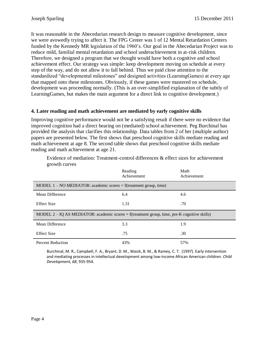It was reasonable in the Abecedarian research design to measure cognitive development, since we were avowedly trying to affect it. The FPG Center was 1 of 12 Mental Retardation Centers funded by the Kennedy MR legislation of the 1960's. Our goal in the Abecedarian Project was to reduce mild, familial mental retardation and school underachievement in at-risk children. Therefore, we designed a program that we thought would have both a cognitive and school achievement effect. Our strategy was simple: keep development moving on schedule at every step of the way, and do not allow it to fall behind. Thus we paid close attention to the standardized "developmental milestones" and designed activities (LearningGames) at every age that mapped onto these milestones. Obviously, if these games were mastered on schedule, development was proceeding normally. (This is an over-simplified explanation of the subtly of LearningGames, but makes the main argument for a direct link to cognitive development.)

## **4. Later reading and math achievement are mediated by early cognitive skills**

Improving cognitive performance would not be a satisfying result if there were no evidence that improved cognition had a direct bearing on (mediated) school achievement. Peg Burchinal has provided the analysis that clarifies this relationship. Data tables from 2 of her (multiple author) papers are presented below. The first shows that preschool cognitive skills mediate reading and math achievement at age 8. The second table shows that preschool cognitive skills mediate reading and math achievement at age 21.

Evidence of mediation: Treatment-control differences & effect sizes for achievement growth curves

|                                                                                                | Reading<br>Achievement | Math<br>Achievement |
|------------------------------------------------------------------------------------------------|------------------------|---------------------|
| MODEL $1 - NO MEDIATOR$ : academic scores = f(treatment group, time)                           |                        |                     |
| Mean Difference                                                                                | 6.4                    | 4.6                 |
| <b>Effect Size</b>                                                                             | 1.31                   | .70                 |
| MODEL $2 - IQ$ AS MEDIATOR: academic scores = f(treatment group, time, pre-K cognitive skills) |                        |                     |
| Mean Difference                                                                                | 3.3                    | 1.9                 |
| <b>Effect Size</b>                                                                             | .75                    | .30                 |
| <b>Percent Reduction</b>                                                                       | 43%                    | 57%                 |

Burchinal, M. R., Campbell, F. A., Bryant, D. M., Wasik, B. M., & Ramey, C. T. (1997). Early intervention and mediating processes in intellectual development among low-income African American children. *Child Development, 68*, 935-954.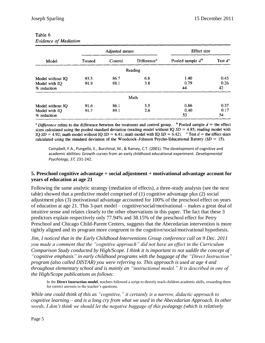|                                                  |              | Adjusted means | Effect size             |                     |                    |  |
|--------------------------------------------------|--------------|----------------|-------------------------|---------------------|--------------------|--|
| Model                                            | Treated      | Control        | Difference <sup>3</sup> | Pooled sample $d^b$ | Test $d^c$         |  |
|                                                  |              |                | Reading                 |                     |                    |  |
| Model without IQ<br>Model with IQ<br>% reduction | 93.5<br>91.9 | 86.7<br>88.1   | 6.8<br>3.8              | 1.40<br>0.79<br>44  | 0.45<br>0.26<br>42 |  |
|                                                  |              |                | Math                    |                     |                    |  |
| Model without IQ<br>Model with IQ<br>% reduction | 91.6<br>91.7 | 86.1<br>89.1   | 5.5<br>2.6              | 0.86<br>0.40<br>53  | 0.37<br>0.17<br>54 |  |

#### Table 6 Evidence of Mediation

<sup>a</sup> Difference refers to the difference between the treatment and control group. <sup>b</sup> Pooled sample  $d =$  the effect sizes calculated using the pooled standard deviation (reading model without IQ  $SD = 4.85$ ; reading model with IQ  $SD = 4.92$ ; math model without IQ  $SD = 6.41$ ; math model with IQ  $SD = 6.42$ ). <sup>c</sup> Test  $d =$  the effect sizes calculated using the standard deviation of the Woodcock-Johnson Psycho-Educational Battery ( $SD = 15$ ).

Campbell, F.A., Pungello, E., Burchinal, M., & Ramey, C.T. (2001). The development of cognitive and academic abilities: Growth curves from an early childhood educational experiment. *Developmental Psychology, 37,* 231-242.

## **5. Preschool cognitive advantage + social adjustment + motivational advantage account for years of education at age 21**

Following the same analytic strategy (mediation of effects), a three-study analysis (see the next table) showed that a predictive model comprised of (1) cognitive advantage plus (2) social adjustment plus (3) motivational advantage accounted for 100% of the preschool effect on years of education at age 21. This 3-part model – cognitive/social/motivational – makes a great deal of intuitive sense and relates closely to the other observations in this paper. The fact that these 3 predictors explain respectively only 77.94% and 38.15% of the preschool effect for Perry Preschool and Chicago Child-Parent Centers, suggests that the Abecedarian intervention is more tightly aligned and its program more congruent to the cognitive/social/motivational hypothesis.

*Jim, I noticed that in the Early Childhood Interventions Group conference call on 9 Dec. 2011 you made a comment that the "cognitive approach" did not have an effect in the Curriculum Comparison Study conducted by High/Scope. I think it is important to not saddle the concept of "cognitive emphasis" in early childhood programs with the baggage of the "Direct Instruction" program (also called DISTAR) you were referring to. This approach is used at age 4 and throughout elementary school and is mainly an "instructional model." It is described in one of the High/Scope publications as follows:*

In the **Direct Instruction model**, teachers followed a script to directly teach children academic skills, rewarding them for correct answers to the teacher's questions.

*While one could think of this as "cognitive," it certainly is a narrow, didactic approach to cognitive learning – and is a long cry from what we used in the Abecedarian Approach. In other words, I don't think we should let the negative baggage of this pedagogy (which is relatively*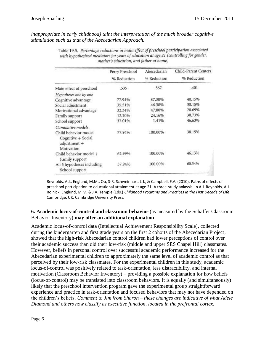*inappropriate in early childhood) taint the interpretation of the much broader cognitive stimulation such as that of the Abecedarian Approach.*

|                                                              | Perry Preschool | Abecedarian | Child-Parent Centers |
|--------------------------------------------------------------|-----------------|-------------|----------------------|
|                                                              | % Reduction     | % Reduction | % Reduction          |
| Main effect of preschool                                     | .535            | .567        | .401                 |
| Hypotheses one by one                                        |                 |             |                      |
| Cognitive advantage                                          | 77.94%          | 87.30%      | 40.15%               |
| Social adjustment                                            | 35.51%          | 46.38%      | 38.15%               |
| Motivational advantage                                       | 32.34%          | 47.80%      | 28.69%               |
| Family support                                               | 12.20%          | 24.16%      | 30.73%               |
| School support                                               | 37.01%          | 1.41%       | 46.63%               |
| Cumulative models                                            |                 |             |                      |
| Child behavior model<br>Cognitive + Social<br>$adjustment +$ | 77.94%          | 100.00%     | 38.15%               |
| Motivation                                                   |                 |             |                      |
| Child behavior model +<br>Family support                     | 62.99%          | 100.00%     | 46.13%               |
| All 5 hypotheses including<br>School support                 | 57.94%          | 100.00%     | 60.34%               |

Table 19.5. Percentage reductions in main effect of preschool participation associated with hypothesized mediators for years of education at age 21 (controlling for gender, mother's education, and father at home)

Reynolds, A.J., Englund, M.M., Ou, S-R. Schweinhart, L.J., & Campbell, F.A. (2010). Paths of effects of preschool participation to educational attainment at age 21: A three-study anlaysis. In A.J. Reynolds, A.J. Rolnick, Englund, M.M. & J.A. Temple (Eds.) *Childhood Programs and Practices in the First Decade of Life*. Cambridge, UK: Cambridge University Press.

#### **6. Academic locus-of-control and classroom behavior** (as measured by the Schaffer Classroom Behavior Inventory) **may offer an additional explanation**

Academic locus-of-control data (Intellectual Achievement Responsibility Scale), collected during the kindergarten and first grade years on the first 2 cohorts of the Abecedarian Project, showed that the high-risk Abecedarian control children had lower perceptions of control over their academic success than did their low-risk (middle and upper SES Chapel Hill) classmates. However, beliefs in personal control over successful academic performance increased for the Abecedarian experimental children to approximately the same level of academic control as that perceived by their low-risk classmates. For the experimental children in this study, academic locus-of-control was positively related to task-orientation, less distractibility, and internal motivation (Classroom Behavior Inventory) – providing a possible explanation for how beliefs (locus-of-control) may be translated into classroom behaviors. It is equally (and simultaneously) likely that the preschool intervention program gave the experimental group straightforward experience and practice in task-orientation and focused behaviors that may not have depended on the children's beliefs. *Comment to Jim from Sharon – these changes are indicative of what Adele Diamond and others now classify as executive function, located in the prefrontal cortex.*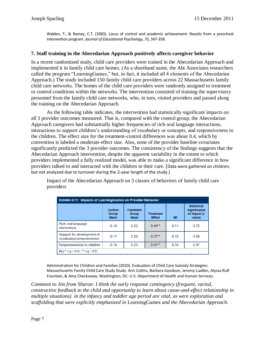Walden, T., & Ramey, C.T. (1983). Locus of control and academic achievement: Results from a preschool intervention program. *Journal of Educational Psychology, 75,* 347-358.

## **7. Staff training in the Abecedarian Approach positively affects caregiver behavior**

In a recent randomized study, child care providers were trained in the Abecedarian Approach and implemented it in family child care homes. (As a shorthand name, the Abt Associates researchers called the program "LearningGames," but, in fact, it included all 4 elements of the Abecedarian Approach.) The study included 150 family child care providers across 22 Massachusetts family child care networks. The homes of the child care providers were randomly assigned to treatment or control conditions within the networks. The intervention consisted of training the supervisory personnel from the family child care networks, who, in turn, visited providers and passed along the training on the Abecedarian Approach.

As the following table indicates, the intervention had statistically significant impacts on all 3 provider outcomes measured. That is, compared with the control group, the Abecedarian Approach caregivers had substantially higher frequencies of rich oral language interactions, interactions to support children's understanding of vocabulary or concepts, and responsiveness to the children. The effect size for the treatment-control differences was about 0.4, which by convention is labeled a moderate effect size. Also, none of the provider baseline covariates significantly predicted the 3 provider outcomes. The consistency of the findings suggests that the Abecedarian Approach intervention, despite the apparent variability in the extent to which providers implemented a fully realized model, was able to make a significant difference in how providers talked to and interacted with the children in their care. [Data were gathered on children, but not analyzed due to turnover during the 2-year length of the study.]

Impact of the Abecedarian Approach on 3 classes of behaviors of family child care providers

| <b>Exhibit 4.11: Impacts of LearningGames on Provider Behavior</b> |                                        |                                          |                                   |      |                                                                      |  |  |  |
|--------------------------------------------------------------------|----------------------------------------|------------------------------------------|-----------------------------------|------|----------------------------------------------------------------------|--|--|--|
|                                                                    | Control<br><b>Group</b><br><b>Mean</b> | <b>Treatment</b><br>Group<br><b>Mean</b> | <b>Treatment</b><br><b>Effect</b> | SE.  | <b>Statistical</b><br><b>Significance</b><br>of Impact (t-<br>value) |  |  |  |
| Rich oral language<br>interactions                                 | $-0.18$                                | 0.22                                     | $0.40**$                          | 0.11 | 3.72                                                                 |  |  |  |
| Support for development of<br>vocabulary/comprehension             | $-0.17$                                | 0.20                                     | $0.37**$                          | 0.10 | 3.58                                                                 |  |  |  |
| Responsiveness to children                                         | $-0.19$                                | 0.23                                     | $0.47**$                          | 0.16 | 2.97                                                                 |  |  |  |
| $Key: = p < 0.05$ ; ** = p < 0.01.                                 |                                        |                                          |                                   |      |                                                                      |  |  |  |

Administration for Children and Families (2010). Evaluation of Child Care Subsidy Strategies: Massachusetts Family Child Care Study Study. Ann Collins, Barbara Goodson, Jeremy Luallen, Alyssa Rulf Fountain, & Amy Checkoway. Washington, DC: U.S. Department of Health and Human Services.

*Comment to Jim from Sharon: I think the early response contingency (frequent, varied, constructive feedback to the child and opportunity to learn about cause-and-effect relationship in multiple situations) in the infancy and toddler age period are vital, as were exploration and scaffolding that were explicitly emphasized in* LearningGames *and the Abecedarian Approach.*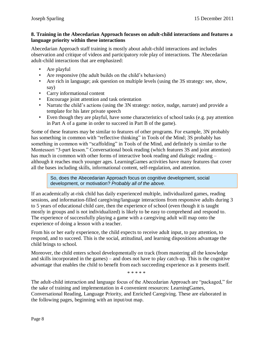### **8. Training in the Abecedarian Approach focuses on adult-child interactions and features a language priority within these interactions**

Abecedarian Approach staff training is mostly about adult-child interactions and includes observation and critique of videos and participatory role play of interactions. The Abecedarian adult-child interactions that are emphasized:

- Are playful
- Are responsive (the adult builds on the child's behaviors)
- Are rich in language; ask question on multiple levels (using the 3S strategy: see, show, say)
- Carry informational content
- Encourage joint attention and task orientation
- Narrate the child's actions (using the 3N strategy: notice, nudge, narrate) and provide a template for his later private speech
- Even though they are playful, have some characteristics of school tasks (e.g. pay attention in Part A of a game in order to succeed in Part B of the game).

Some of these features may be similar to features of other programs. For example, 3N probably has something in common with "reflective thinking" in Tools of the Mind; 3S probably has something in common with "scaffolding" in Tools of the Mind, and definitely is similar to the Montessori "3-part lesson." Conversational book reading (which features 3S and joint attention) has much in common with other forms of interactive book reading and dialogic reading – although it reaches much younger ages. LearningGames activities have many features that cover all the bases including skills, informational content, self-regulation, and attention.

So, does the Abecedarian Approach focus on cognitive development, social development, or motivation? *Probably all of the above.*

If an academically at-risk child has daily experienced multiple, individualized games, reading sessions, and information-filled caregiving/language interactions from responsive adults during 3 to 5 years of educational child care, then the experience of school (even though it is taught mostly in groups and is not individualized) is likely to be easy to comprehend and respond to. The experience of successfully playing a game with a caregiving adult will map onto the experience of doing a lesson with a teacher.

From his or her early experience, the child expects to receive adult input, to pay attention, to respond, and to succeed. This is the social, attitudinal, and learning dispositions advantage the child brings to school.

Moreover, the child enters school developmentally on track (from mastering all the knowledge and skills incorporated in the games) – and does not have to play catch-up. This is the cognitive advantage that enables the child to benefit from each succeeding experience as it presents itself.

\* \* \* \* \*

The adult-child interaction and language focus of the Abecedarian Approach are "packaged," for the sake of training and implementation in 4 convenient resources: LearningGames, Conversational Reading, Language Priority, and Enriched Caregiving. These are elaborated in the following pages, beginning with an input/out map.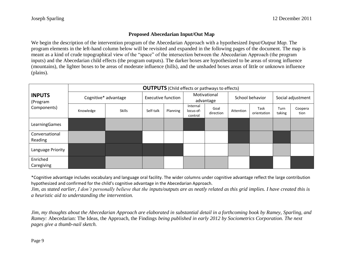## **Proposed Abecedarian Input/Out Map**

We begin the description of the intervention program of the Abecedarian Approach with a hypothesized *Input/Output Map.* The program elements in the left-hand column below will be revisited and expanded in the following pages of the document. The map is meant as a kind of crude topographical view of the "space" of the intersection between the Abecedarian Approach (the program inputs) and the Abecedarian child effects (the program outputs). The darker boxes are hypothesized to be areas of strong influence (mountains), the lighter boxes to be areas of moderate influence (hills), and the unshaded boxes areas of little or unknown influence (plains).

|                           | <b>OUTPUTS</b> (Child effects or pathways to effects) |                      |                           |          |                                  |                   |                 |                     |                   |                 |
|---------------------------|-------------------------------------------------------|----------------------|---------------------------|----------|----------------------------------|-------------------|-----------------|---------------------|-------------------|-----------------|
| <b>INPUTS</b><br>(Program |                                                       | Cognitive* advantage | <b>Executive function</b> |          | Motivational<br>advantage        |                   | School behavior |                     | Social adjustment |                 |
| Components)               | Knowledge                                             | <b>Skills</b>        | Self-talk                 | Planning | Internal<br>locus-of-<br>control | Goal<br>direction | Attention       | Task<br>orientation | Turn<br>taking    | Coopera<br>tion |
| LearningGames             |                                                       |                      |                           |          |                                  |                   |                 |                     |                   |                 |
| Conversational<br>Reading |                                                       |                      |                           |          |                                  |                   |                 |                     |                   |                 |
| Language Priority         |                                                       |                      |                           |          |                                  |                   |                 |                     |                   |                 |
| Enriched<br>Caregiving    |                                                       |                      |                           |          |                                  |                   |                 |                     |                   |                 |

\*Cognitive advantage includes vocabulary and language oral facility. The wider columns under cognitive advantage reflect the large contribution hypothesized and confirmed for the child's cognitive advantage in the Abecedarian Approach.

*Jim, as stated earlier, I don't personally believe that the inputs/outputs are as neatly related as this grid implies. I have created this is a heuristic aid to understanding the intervention.*

*Jim, my thoughts about the Abecedarian Approach are elaborated in substantial detail in a forthcoming book by Ramey, Sparling, and Ramey:* Abecedarian: The Ideas, the Approach, the Findings *being published in early 2012 by Sociometrics Corporation. The next pages give a thumb-nail sketch.*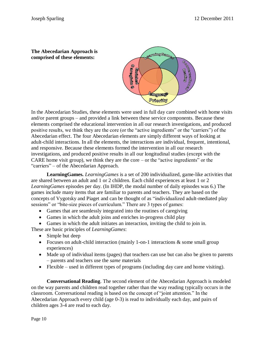**The Abecedarian Approach is comprised of these elements:**



In the Abecedarian Studies, these elements were used in full day care combined with home visits and/or parent groups – and provided a link between these service components. Because these elements comprised the educational intervention in all our research investigations, and produced positive results, we think they are the core (or the "active ingredients" or the "carriers") of the Abecedarian effect. The four Abecedarian elements are simply different ways of looking at adult-child interactions. In all the elements, the interactions are individual, frequent, intentional, and responsive. Because these elements formed the intervention in all our research investigations, and produced positive results in all our longitudinal studies (except with the CARE home visit group), we think they are the core – or the "active ingredients" or the "carriers" – of the Abecedarian Approach.

**LearningGames.** *LearningGames* is a set of 200 individualized, game-like activities that are shared between an adult and 1 or 2 children. Each child experiences at least 1 or 2 *LearningGames* episodes per day. (In IHDP, the modal number of daily episodes was 6.) The games include many items that are familiar to parents and teachers. They are based on the concepts of Vygotsky and Piaget and can be thought of as "individualized adult-mediated play sessions" or "bite-size pieces of curriculum." There are 3 types of games:

- Games that are seamlessly integrated into the routines of caregiving
- Games in which the adult joins and enriches in-progress child play
- Games in which the adult initiates an interaction, inviting the child to join in.

These are basic principles of *LearningGames*:

- Simple but deep
- Focuses on adult-child interaction (mainly 1-on-1 interactions & some small group experiences)
- Made up of individual items (pages) that teachers can use but can also be given to parents – parents and teachers use the *same* materials
- Flexible used in different types of programs (including day care and home visiting).

**Conversational Reading**. The second element of the Abecedarian Approach is modeled on the way parents and children read together rather than the way reading typically occurs in the classroom. Conversational reading is based on the concept of "joint attention." In the Abecedarian Approach every child (age 0-3) is read to individually each day, and pairs of children ages 3-4 are read to each day.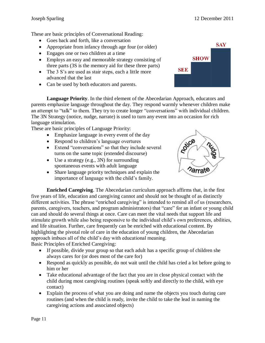These are basic principles of Conversational Reading:

- Goes back and forth, like a conversation
- Appropriate from infancy through age four (or older)
- Engages one or two children at a time
- Employs an easy and memorable strategy consisting of three parts (3S is the memory aid for these three parts)
- The 3 S's are used as stair steps, each a little more advanced that the last
- Can be used by both educators and parents.

**Language Priority**. In the third element of the Abecedarian Approach, educators and parents emphasize language throughout the day. They respond warmly whenever children make an attempt to "talk" to them. They try to create longer "conversations" with individual children. The 3N Strategy (notice, nudge, narrate) is used to turn any event into an occasion for rich language stimulation.

These are basic principles of Language Priority:

- Emphasize language in every event of the day
- Respond to children's language overtures
- Extend "conversations" so that they include several turns on the same topic (extended discourse)
- Use a strategy (e.g., 3N) for surrounding spontaneous events with adult language
- Share language priority techniques and explain the importance of language with the child's family.



**Enriched Caregiving**. The Abecedarian curriculum approach affirms that, in the first five years of life, education and caregiving cannot and should not be thought of as distinctly different activities. The phrase "enriched caregiving" is intended to remind all of us (researchers, parents, caregivers, teachers, and program administrators) that "care" for an infant or young child can and should do several things at once. Care can meet the vital needs that support life and stimulate growth while also being responsive to the individual child's own preferences, abilities, and life situation. Further, care frequently can be enriched with educational content. By highlighting the pivotal role of care in the education of young children, the Abecedarian approach imbues all of the child's day with educational meaning.

Basic Principles of Enriched Caregiving:

- If possible, divide your group so that each adult has a specific group of children she always cares for (or does most of the care for)
- Respond as quickly as possible, do not wait until the child has cried a lot before going to him or her
- Take educational advantage of the fact that you are in close physical contact with the child during most caregiving routines (speak softly and directly to the child, with eye contact)
- Explain the process of what you are doing and name the objects you touch during care routines (and when the child is ready, invite the child to take the lead in naming the caregiving actions and associated objects)

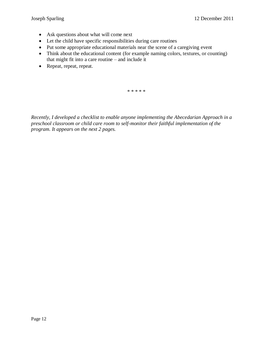- Ask questions about what will come next
- Let the child have specific responsibilities during care routines
- Put some appropriate educational materials near the scene of a caregiving event
- Think about the educational content (for example naming colors, textures, or counting) that might fit into a care routine – and include it
- Repeat, repeat, repeat.

\* \* \* \* \*

*Recently, I developed a checklist to enable anyone implementing the Abecedarian Approach in a preschool classroom or child care room to self-monitor their faithful implementation of the program. It appears on the next 2 pages.*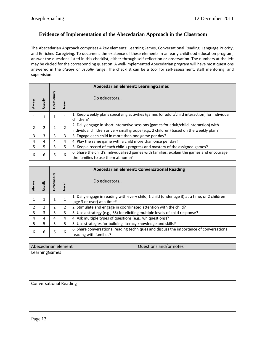## **Evidence of Implementation of the Abecedarian Approach in the Classroom**

The Abecedarian Approach comprises 4 key elements: LearningGames, Conversational Reading, Language Priority, and Enriched Caregiving. To document the existence of these elements in an early childhood education program, answer the questions listed in this checklist, either through self-reflection or observation. The numbers at the left may be circled for the corresponding question. A well-implemented Abecedarian program will have most questions answered in the *always* or *usually* range. The checklist can be a tool for self-assessment, staff mentoring, and supervision.

|        |        |              |              | Abecedarian element: LearningGames                                                                                                                                              |
|--------|--------|--------------|--------------|---------------------------------------------------------------------------------------------------------------------------------------------------------------------------------|
| Always | sually | Occasionally | <b>Never</b> | Do educators                                                                                                                                                                    |
|        |        |              |              | 1. Keep weekly plans specifying activities (games for adult/child interaction) for individual<br>children?                                                                      |
|        |        | 2            | 2            | 2. Daily engage in short interactive sessions (games for adult/child interaction) with<br>individual children or very small groups (e.g., 2 children) based on the weekly plan? |
| 3      | 3      | 3            | 3            | 3. Engage each child in more than one game per day?                                                                                                                             |
| 4      | 4      | 4            | 4            | 4. Play the same game with a child more than once per day?                                                                                                                      |
| 5.     | 5      | 5            | 5.           | 5. Keep a record of each child's progress and mastery of the assigned games?                                                                                                    |
| 6      | 6      | 6            | 6            | 6. Share the child's individualized games with families, explain the games and encourage<br>the families to use them at home?                                                   |

| <b>Always</b> | yllsus | Μ<br><b>Dccasion</b> | <b>Never</b> | <b>Abecedarian element: Conversational Reading</b><br>Do educators                                                        |
|---------------|--------|----------------------|--------------|---------------------------------------------------------------------------------------------------------------------------|
|               |        |                      |              | 1. Daily engage in reading with every child, 1 child (under age 3) at a time, or 2 children<br>(age 3 or over) at a time? |
| 2             |        |                      |              | 2. Stimulate and engage in coordinated attention with the child?                                                          |
| 3             | 3      | 3                    | 3            | 3. Use a strategy (e.g., 3S) for eliciting multiple levels of child response?                                             |
| 4             | 4      | 4                    | 4            | 4. Ask multiple types of questions (e.g., wh questions)?                                                                  |
| 5.            | 5      | 5                    | 5.           | 5. Use strategies for building literacy knowledge and skills?                                                             |
| 6             | 6      | 6                    | 6            | 6. Share conversational reading techniques and discuss the importance of conversational<br>reading with families?         |

| Abecedarian element           | Questions and/or notes |
|-------------------------------|------------------------|
| LearningGames                 |                        |
| <b>Conversational Reading</b> |                        |